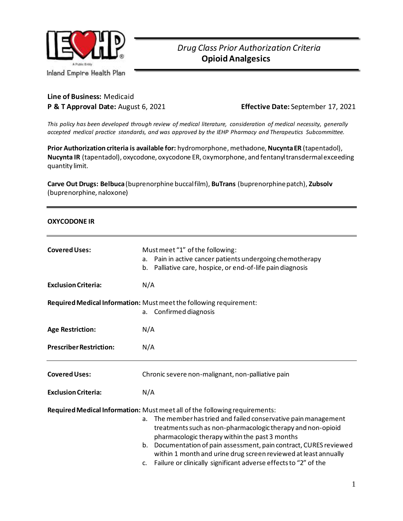

**Line of Business:** Medicaid

**P & T Approval Date:** August 6, 2021 **Effective Date:** September 17, 2021

*This policy has been developed through review of medical literature, consideration of medical necessity, generally accepted medical practice standards, and was approved by the IEHP Pharmacy and Therapeutics Subcommittee.*

**Prior Authorization criteria is available for:** hydromorphone, methadone, **Nucynta ER** (tapentadol), **Nucynta IR** (tapentadol), oxycodone, oxycodone ER, Oxymorphone, and fentanyl transdermal exceeding quantity limit.

**Carve Out Drugs: Belbuca**(buprenorphine buccal film), **BuTrans** (buprenorphine patch), **Zubsolv** (buprenorphine, naloxone)

#### **OXYCODONE IR**

| <b>Covered Uses:</b>           | Must meet "1" of the following:<br>Pain in active cancer patients undergoing chemotherapy<br>а.<br>b. Palliative care, hospice, or end-of-life pain diagnosis                                                                                                                                                                                                                                                                                                                       |
|--------------------------------|-------------------------------------------------------------------------------------------------------------------------------------------------------------------------------------------------------------------------------------------------------------------------------------------------------------------------------------------------------------------------------------------------------------------------------------------------------------------------------------|
| <b>Exclusion Criteria:</b>     | N/A                                                                                                                                                                                                                                                                                                                                                                                                                                                                                 |
|                                | Required Medical Information: Must meet the following requirement:<br>a. Confirmed diagnosis                                                                                                                                                                                                                                                                                                                                                                                        |
| <b>Age Restriction:</b>        | N/A                                                                                                                                                                                                                                                                                                                                                                                                                                                                                 |
| <b>Prescriber Restriction:</b> | N/A                                                                                                                                                                                                                                                                                                                                                                                                                                                                                 |
| <b>Covered Uses:</b>           | Chronic severe non-malignant, non-palliative pain                                                                                                                                                                                                                                                                                                                                                                                                                                   |
| <b>Exclusion Criteria:</b>     | N/A                                                                                                                                                                                                                                                                                                                                                                                                                                                                                 |
|                                | Required Medical Information: Must meet all of the following requirements:<br>The member has tried and failed conservative pain management<br>a.<br>treatments such as non-pharmacologic therapy and non-opioid<br>pharmacologic therapy within the past 3 months<br>b. Documentation of pain assessment, pain contract, CURES reviewed<br>within 1 month and urine drug screen reviewed at least annually<br>Failure or clinically significant adverse effects to "2" of the<br>c. |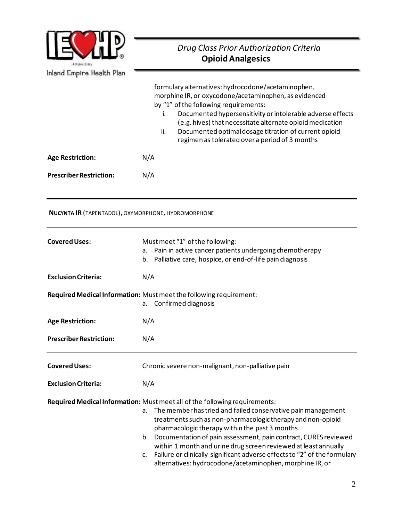

|                                                     | formulary alternatives: hydrocodone/acetaminophen,<br>morphine IR, or oxycodone/acetaminophen, as evidenced<br>by "1" of the following requirements:<br>Documented hypersensitivity or intolerable adverse effects<br>i.<br>(e.g. hives) that necessitate alternate opioid medication<br>Documented optimal dosage titration of current opioid<br>ii.<br>regimen as tolerated over a period of 3 months                                                                                                                                                   |  |  |
|-----------------------------------------------------|-----------------------------------------------------------------------------------------------------------------------------------------------------------------------------------------------------------------------------------------------------------------------------------------------------------------------------------------------------------------------------------------------------------------------------------------------------------------------------------------------------------------------------------------------------------|--|--|
| <b>Age Restriction:</b>                             | N/A                                                                                                                                                                                                                                                                                                                                                                                                                                                                                                                                                       |  |  |
| <b>Prescriber Restriction:</b>                      | N/A                                                                                                                                                                                                                                                                                                                                                                                                                                                                                                                                                       |  |  |
| NUCYNTA IR (TAPENTADOL), OXYMORPHONE, HYDROMORPHONE |                                                                                                                                                                                                                                                                                                                                                                                                                                                                                                                                                           |  |  |
| <b>Covered Uses:</b>                                | Must meet "1" of the following:<br>a. Pain in active cancer patients undergoing chemotherapy<br>b. Palliative care, hospice, or end-of-life pain diagnosis                                                                                                                                                                                                                                                                                                                                                                                                |  |  |
| <b>Exclusion Criteria:</b>                          | N/A                                                                                                                                                                                                                                                                                                                                                                                                                                                                                                                                                       |  |  |
|                                                     | Required Medical Information: Must meet the following requirement:<br>Confirmed diagnosis<br>a.                                                                                                                                                                                                                                                                                                                                                                                                                                                           |  |  |
| <b>Age Restriction:</b>                             | N/A                                                                                                                                                                                                                                                                                                                                                                                                                                                                                                                                                       |  |  |
| <b>Prescriber Restriction:</b>                      | N/A                                                                                                                                                                                                                                                                                                                                                                                                                                                                                                                                                       |  |  |
| <b>Covered Uses:</b>                                | Chronic severe non-malignant, non-palliative pain                                                                                                                                                                                                                                                                                                                                                                                                                                                                                                         |  |  |
| <b>Exclusion Criteria:</b>                          | N/A                                                                                                                                                                                                                                                                                                                                                                                                                                                                                                                                                       |  |  |
|                                                     | Required Medical Information: Must meet all of the following requirements:<br>The member has tried and failed conservative pain management<br>a.<br>treatments such as non-pharmacologic therapy and non-opioid<br>pharmacologic therapy within the past 3 months<br>b. Documentation of pain assessment, pain contract, CURES reviewed<br>within 1 month and urine drug screen reviewed at least annually<br>Failure or clinically significant adverse effects to "2" of the formulary<br>c.<br>alternatives: hydrocodone/acetaminophen, morphine IR, or |  |  |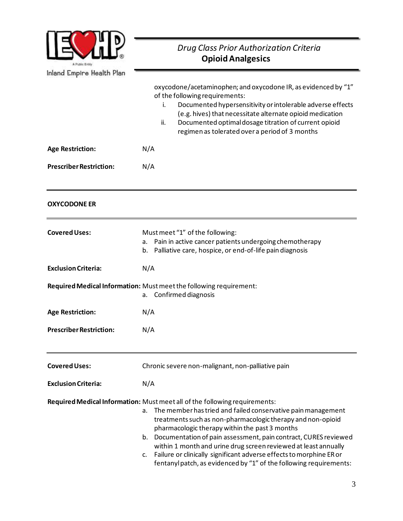

|                                | oxycodone/acetaminophen; and oxycodone IR, as evidenced by "1"<br>of the following requirements:<br>Documented hypersensitivity or intolerable adverse effects<br>i.<br>(e.g. hives) that necessitate alternate opioid medication<br>Documented optimal dosage titration of current opioid<br>ii.<br>regimen as tolerated over a period of 3 months                                                                                                                                                                                                           |
|--------------------------------|---------------------------------------------------------------------------------------------------------------------------------------------------------------------------------------------------------------------------------------------------------------------------------------------------------------------------------------------------------------------------------------------------------------------------------------------------------------------------------------------------------------------------------------------------------------|
| <b>Age Restriction:</b>        | N/A                                                                                                                                                                                                                                                                                                                                                                                                                                                                                                                                                           |
| <b>Prescriber Restriction:</b> | N/A                                                                                                                                                                                                                                                                                                                                                                                                                                                                                                                                                           |
| <b>OXYCODONE ER</b>            |                                                                                                                                                                                                                                                                                                                                                                                                                                                                                                                                                               |
| <b>Covered Uses:</b>           | Must meet "1" of the following:<br>Pain in active cancer patients undergoing chemotherapy<br>а.<br>b. Palliative care, hospice, or end-of-life pain diagnosis                                                                                                                                                                                                                                                                                                                                                                                                 |
| <b>Exclusion Criteria:</b>     | N/A                                                                                                                                                                                                                                                                                                                                                                                                                                                                                                                                                           |
|                                | Required Medical Information: Must meet the following requirement:<br>Confirmed diagnosis<br>a.                                                                                                                                                                                                                                                                                                                                                                                                                                                               |
| <b>Age Restriction:</b>        | N/A                                                                                                                                                                                                                                                                                                                                                                                                                                                                                                                                                           |
| <b>Prescriber Restriction:</b> | N/A                                                                                                                                                                                                                                                                                                                                                                                                                                                                                                                                                           |
| <b>Covered Uses:</b>           | Chronic severe non-malignant, non-palliative pain                                                                                                                                                                                                                                                                                                                                                                                                                                                                                                             |
| <b>Exclusion Criteria:</b>     | N/A                                                                                                                                                                                                                                                                                                                                                                                                                                                                                                                                                           |
|                                | Required Medical Information: Must meet all of the following requirements:<br>The member has tried and failed conservative pain management<br>a.<br>treatments such as non-pharmacologic therapy and non-opioid<br>pharmacologic therapy within the past 3 months<br>b. Documentation of pain assessment, pain contract, CURES reviewed<br>within 1 month and urine drug screen reviewed at least annually<br>Failure or clinically significant adverse effects to morphine ER or<br>C.<br>fentanyl patch, as evidenced by "1" of the following requirements: |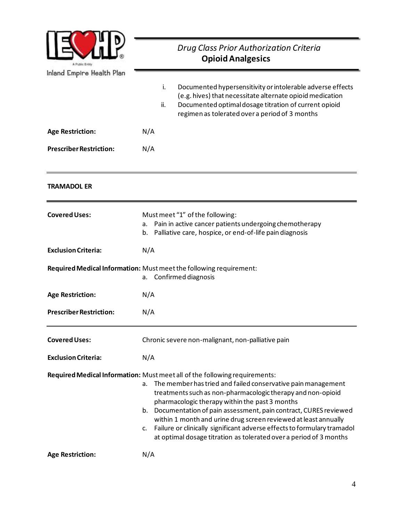

| <b>Indian Pilibile Hearth Light</b> |                                                                                                                                                                                                                                                                                                                                                                                                                                                                                                                                                                   |
|-------------------------------------|-------------------------------------------------------------------------------------------------------------------------------------------------------------------------------------------------------------------------------------------------------------------------------------------------------------------------------------------------------------------------------------------------------------------------------------------------------------------------------------------------------------------------------------------------------------------|
|                                     | Documented hypersensitivity or intolerable adverse effects<br>i.<br>(e.g. hives) that necessitate alternate opioid medication<br>Documented optimal dosage titration of current opioid<br>ii.<br>regimen as tolerated over a period of 3 months                                                                                                                                                                                                                                                                                                                   |
| <b>Age Restriction:</b>             | N/A                                                                                                                                                                                                                                                                                                                                                                                                                                                                                                                                                               |
| <b>Prescriber Restriction:</b>      | N/A                                                                                                                                                                                                                                                                                                                                                                                                                                                                                                                                                               |
| <b>TRAMADOL ER</b>                  |                                                                                                                                                                                                                                                                                                                                                                                                                                                                                                                                                                   |
| <b>Covered Uses:</b>                | Must meet "1" of the following:<br>Pain in active cancer patients undergoing chemotherapy<br>а.<br>b. Palliative care, hospice, or end-of-life pain diagnosis                                                                                                                                                                                                                                                                                                                                                                                                     |
| <b>Exclusion Criteria:</b>          | N/A                                                                                                                                                                                                                                                                                                                                                                                                                                                                                                                                                               |
|                                     | Required Medical Information: Must meet the following requirement:<br>a. Confirmed diagnosis                                                                                                                                                                                                                                                                                                                                                                                                                                                                      |
| <b>Age Restriction:</b>             | N/A                                                                                                                                                                                                                                                                                                                                                                                                                                                                                                                                                               |
| <b>Prescriber Restriction:</b>      | N/A                                                                                                                                                                                                                                                                                                                                                                                                                                                                                                                                                               |
| <b>Covered Uses:</b>                | Chronic severe non-malignant, non-palliative pain                                                                                                                                                                                                                                                                                                                                                                                                                                                                                                                 |
| <b>Exclusion Criteria:</b>          | N/A                                                                                                                                                                                                                                                                                                                                                                                                                                                                                                                                                               |
|                                     | Required Medical Information: Must meet all of the following requirements:<br>The member has tried and failed conservative pain management<br>а.<br>treatments such as non-pharmacologic therapy and non-opioid<br>pharmacologic therapy within the past 3 months<br>b. Documentation of pain assessment, pain contract, CURES reviewed<br>within 1 month and urine drug screen reviewed at least annually<br>Failure or clinically significant adverse effects to formulary tramadol<br>c.<br>at optimal dosage titration as tolerated over a period of 3 months |
| <b>Age Restriction:</b>             | N/A                                                                                                                                                                                                                                                                                                                                                                                                                                                                                                                                                               |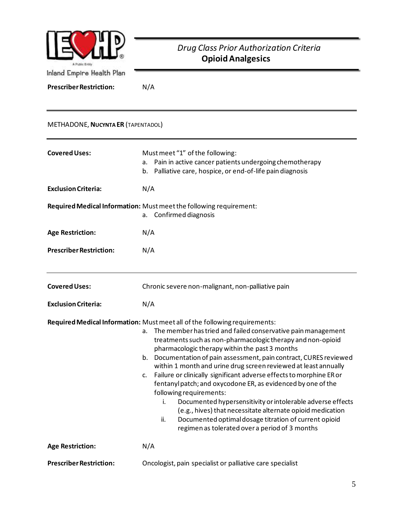

**Prescriber Restriction:** N/A

#### METHADONE,**NUCYNTA ER** (TAPENTADOL)

| <b>Covered Uses:</b>           | Must meet "1" of the following:<br>a. Pain in active cancer patients undergoing chemotherapy<br>b. Palliative care, hospice, or end-of-life pain diagnosis                                                                                                                                                                                                                                                                                                                                                                                                                                                                                                                                                                                                                                                                             |
|--------------------------------|----------------------------------------------------------------------------------------------------------------------------------------------------------------------------------------------------------------------------------------------------------------------------------------------------------------------------------------------------------------------------------------------------------------------------------------------------------------------------------------------------------------------------------------------------------------------------------------------------------------------------------------------------------------------------------------------------------------------------------------------------------------------------------------------------------------------------------------|
| <b>Exclusion Criteria:</b>     | N/A                                                                                                                                                                                                                                                                                                                                                                                                                                                                                                                                                                                                                                                                                                                                                                                                                                    |
|                                | Required Medical Information: Must meet the following requirement:<br>a. Confirmed diagnosis                                                                                                                                                                                                                                                                                                                                                                                                                                                                                                                                                                                                                                                                                                                                           |
| <b>Age Restriction:</b>        | N/A                                                                                                                                                                                                                                                                                                                                                                                                                                                                                                                                                                                                                                                                                                                                                                                                                                    |
| <b>Prescriber Restriction:</b> | N/A                                                                                                                                                                                                                                                                                                                                                                                                                                                                                                                                                                                                                                                                                                                                                                                                                                    |
| <b>Covered Uses:</b>           | Chronic severe non-malignant, non-palliative pain                                                                                                                                                                                                                                                                                                                                                                                                                                                                                                                                                                                                                                                                                                                                                                                      |
| <b>Exclusion Criteria:</b>     | N/A                                                                                                                                                                                                                                                                                                                                                                                                                                                                                                                                                                                                                                                                                                                                                                                                                                    |
|                                | Required Medical Information: Must meet all of the following requirements:<br>The member has tried and failed conservative pain management<br>a.<br>treatments such as non-pharmacologic therapy and non-opioid<br>pharmacologic therapy within the past 3 months<br>b. Documentation of pain assessment, pain contract, CURES reviewed<br>within 1 month and urine drug screen reviewed at least annually<br>Failure or clinically significant adverse effects to morphine ER or<br>c.<br>fentanyl patch; and oxycodone ER, as evidenced by one of the<br>following requirements:<br>Documented hypersensitivity or intolerable adverse effects<br>i.<br>(e.g., hives) that necessitate alternate opioid medication<br>Documented optimal dosage titration of current opioid<br>ii.<br>regimen as tolerated over a period of 3 months |
| <b>Age Restriction:</b>        | N/A                                                                                                                                                                                                                                                                                                                                                                                                                                                                                                                                                                                                                                                                                                                                                                                                                                    |
| <b>Prescriber Restriction:</b> | Oncologist, pain specialist or palliative care specialist                                                                                                                                                                                                                                                                                                                                                                                                                                                                                                                                                                                                                                                                                                                                                                              |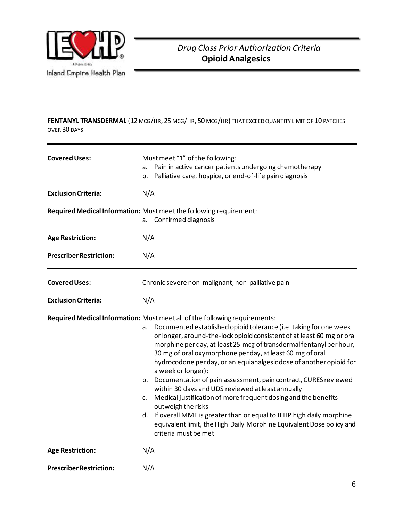

**FENTANYL TRANSDERMAL** (12 MCG/HR, 25 MCG/HR, 50 MCG/HR) THAT EXCEED QUANTITY LIMIT OF 10 PATCHES OVER 30 DAYS

| <b>Covered Uses:</b>           | Must meet "1" of the following:<br>a. Pain in active cancer patients undergoing chemotherapy<br>b. Palliative care, hospice, or end-of-life pain diagnosis                                                                                                                                                                                                                                                                                                                                                                                                                                                                                                                                                                                                                                                                                                          |
|--------------------------------|---------------------------------------------------------------------------------------------------------------------------------------------------------------------------------------------------------------------------------------------------------------------------------------------------------------------------------------------------------------------------------------------------------------------------------------------------------------------------------------------------------------------------------------------------------------------------------------------------------------------------------------------------------------------------------------------------------------------------------------------------------------------------------------------------------------------------------------------------------------------|
| <b>Exclusion Criteria:</b>     | N/A                                                                                                                                                                                                                                                                                                                                                                                                                                                                                                                                                                                                                                                                                                                                                                                                                                                                 |
|                                | Required Medical Information: Must meet the following requirement:<br>Confirmed diagnosis<br>а.                                                                                                                                                                                                                                                                                                                                                                                                                                                                                                                                                                                                                                                                                                                                                                     |
| <b>Age Restriction:</b>        | N/A                                                                                                                                                                                                                                                                                                                                                                                                                                                                                                                                                                                                                                                                                                                                                                                                                                                                 |
| <b>Prescriber Restriction:</b> | N/A                                                                                                                                                                                                                                                                                                                                                                                                                                                                                                                                                                                                                                                                                                                                                                                                                                                                 |
| <b>Covered Uses:</b>           | Chronic severe non-malignant, non-palliative pain                                                                                                                                                                                                                                                                                                                                                                                                                                                                                                                                                                                                                                                                                                                                                                                                                   |
| <b>Exclusion Criteria:</b>     | N/A                                                                                                                                                                                                                                                                                                                                                                                                                                                                                                                                                                                                                                                                                                                                                                                                                                                                 |
|                                | Required Medical Information: Must meet all of the following requirements:<br>Documented established opioid tolerance (i.e. taking for one week<br>а.<br>or longer, around-the-lock opioid consistent of at least 60 mg or oral<br>morphine per day, at least 25 mcg of transdermal fentanyl per hour,<br>30 mg of oral oxymorphone per day, at least 60 mg of oral<br>hydrocodone per day, or an equianalgesic dose of another opioid for<br>a week or longer);<br>b. Documentation of pain assessment, pain contract, CURES reviewed<br>within 30 days and UDS reviewed at least annually<br>Medical justification of more frequent dosing and the benefits<br>c.<br>outweigh the risks<br>d. If overall MME is greater than or equal to IEHP high daily morphine<br>equivalent limit, the High Daily Morphine Equivalent Dose policy and<br>criteria must be met |
| <b>Age Restriction:</b>        | N/A                                                                                                                                                                                                                                                                                                                                                                                                                                                                                                                                                                                                                                                                                                                                                                                                                                                                 |
| <b>Prescriber Restriction:</b> | N/A                                                                                                                                                                                                                                                                                                                                                                                                                                                                                                                                                                                                                                                                                                                                                                                                                                                                 |